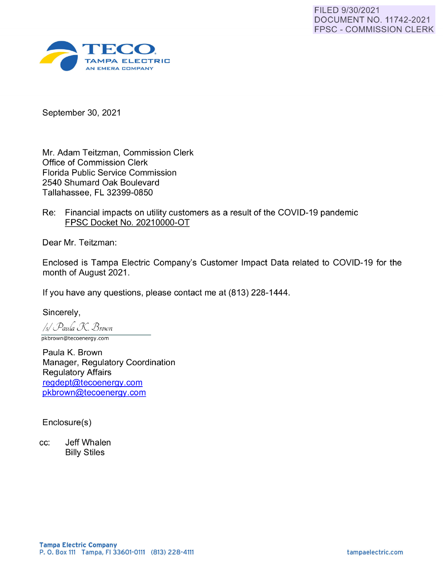

September 30, 2021

Mr. Adam Teitzman, Commission Clerk Office of Commission Clerk Florida Public Service Commission 2540 Shumard Oak Boulevard Tallahassee, FL 32399-0850

Re: Financial impacts on utility customers as a result of the COVID-19 pandemic FPSC Docket No. 20210000-0T

Dear Mr. Teitzman:

Enclosed is Tampa Electric Company's Customer Impact Data related to COVID-19 for the month of August 2021 .

If you have any questions, please contact me at (813) 228-1444.

Sincerely, /4/ *ifauh !J( lJroion*  pkbrown@tecoenergy.com

Paula K. Brown Manager, Regulatory Coordination Regulatory Affairs reqdept@tecoenerqy.com pkbrown@tecoenerqy.com

Enclosure(s)

cc: Jeff Whalen Billy Stiles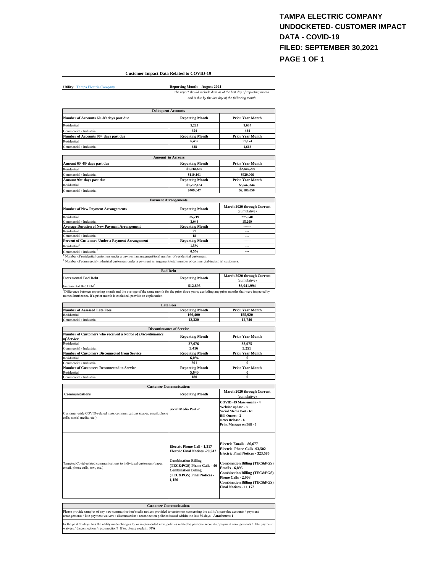### **TAMPA ELECTRIC COMPANY UNDOCKETED- CUSTOMER IMPACT DATA - COVID-19 FILED: SEPTEMBER 30,2021 PAGE 1 OF 1**

#### **Customer Impact Data Related to COVID-19**

**Utility:** Tampa Electric Company

J.

**Reporting Month: August 2021** *The report should include data as of the last day of reporting month* 

*and is due by the last day of the following month*

| <b>Delinquent Accounts</b>              |                          |                         |
|-----------------------------------------|--------------------------|-------------------------|
| Number of Accounts 60 -89 days past due | <b>Reporting Month</b>   | <b>Prior Year Month</b> |
| Residential                             | 5.225                    | 9.637                   |
| Commercial / Industrial                 | 354                      | 484                     |
| Number of Accounts 90+ days past due    | <b>Reporting Month</b>   | <b>Prior Year Month</b> |
| Residential                             | 6.456                    | 27.174                  |
| Commercial / Industrial                 | 638                      | 1.663                   |
|                                         | <b>Amount</b> in Arrears |                         |
| Amount 60 -89 days past due             | <b>Reporting Month</b>   | <b>Prior Year Month</b> |
|                                         |                          |                         |

| Residential              | \$1,018,625            | \$2,845,209             |
|--------------------------|------------------------|-------------------------|
| Commercial / Industrial  | \$110,101              | \$620,006               |
| Amount 90+ days past due | <b>Reporting Month</b> | <b>Prior Year Month</b> |
| Residential              | \$1,792,184            | \$5,547,344             |
| Commercial / Industrial  | \$409,047              | \$2,186,050             |

| <b>Payment Arrangements</b>                        |                        |                                            |
|----------------------------------------------------|------------------------|--------------------------------------------|
| <b>Number of New Payment Arrangements</b>          | <b>Reporting Month</b> | March 2020 through Current<br>(cumulative) |
| Residential                                        | 35,719                 | 275.540                                    |
| Commercial / Industrial                            | 3.044                  | 15.209                                     |
| <b>Average Duration of New Payment Arrangement</b> | <b>Reporting Month</b> | ------                                     |
| Residential                                        | 27                     | $- - -$                                    |
| Commercial / Industrial                            | 18                     | ---                                        |
| Percent of Customers Under a Payment Arrangement   | <b>Reporting Month</b> | ------                                     |
| Residential <sup>1</sup>                           | 1.5%                   | ---                                        |
| Commonsiel / Industrial <sup>2</sup>               | 0.5%                   |                                            |

Commercial / Industrial<sup>2</sup><br><sup>1</sup> Number of residential customers under a payment arrangement/total number of residential customers.<br><sup>2</sup> Number of commercial-industrial customers under a payment arrangement/total number of c

| <b>Bad Debt</b>        |                                            |  |
|------------------------|--------------------------------------------|--|
| <b>Reporting Month</b> | March 2020 through Current<br>(cumulative) |  |
| \$12.895               | \$6,041,994                                |  |
|                        |                                            |  |

Incremental Bad Debt<sup>3</sup>  $$12,895$   $$6,041,994$ <br><sup>2</sup>Difference between reporting month and the average of the same month for the prior three years; excluding any prior months that were impacted by<br>named hurricanes. If a pri

| Late Fees                           |                        |                         |
|-------------------------------------|------------------------|-------------------------|
| <b>Number of Assessed Late Fees</b> | <b>Reporting Month</b> | <b>Prior Year Month</b> |
| Residential                         | 166.400                | 155.920                 |
| Commercial / Industrial             | 12.320                 | 12.746                  |
|                                     |                        |                         |

| <b>Discontinuance of Service</b>                                          |                        |                         |
|---------------------------------------------------------------------------|------------------------|-------------------------|
| Number of Customers who received a Notice of Discontinuance<br>of Service | <b>Reporting Month</b> | <b>Prior Year Month</b> |
| Residential                                                               | 27,676                 | 38.975                  |
| Commercial / Industrial                                                   | 3.416                  | 3.251                   |
| <b>Number of Customers Disconnected from Service</b>                      | <b>Reporting Month</b> | <b>Prior Year Month</b> |
| Residential                                                               | 6.094                  |                         |
| Commercial / Industrial                                                   | 201                    | 0                       |
| <b>Number of Customers Reconnected to Service</b>                         | <b>Reporting Month</b> | <b>Prior Year Month</b> |
| Residential                                                               | 5.640                  |                         |
| Commercial / Industrial                                                   | 180                    | 0                       |

|                                                                                                                                                                                                                                                                      | <b>Customer Communications</b>                                                                                                                                                                       |                                                                                                                                                                                                                                                                                                            |
|----------------------------------------------------------------------------------------------------------------------------------------------------------------------------------------------------------------------------------------------------------------------|------------------------------------------------------------------------------------------------------------------------------------------------------------------------------------------------------|------------------------------------------------------------------------------------------------------------------------------------------------------------------------------------------------------------------------------------------------------------------------------------------------------------|
| <b>Communications</b>                                                                                                                                                                                                                                                | <b>Reporting Month</b>                                                                                                                                                                               | March 2020 through Current<br>(cumulative)                                                                                                                                                                                                                                                                 |
| Customer-wide COVID-related mass communications (paper, email, phone<br>calls, social media, etc.)                                                                                                                                                                   | <b>Social Media Post -2</b>                                                                                                                                                                          | COVID-19 Mass emails - 4<br>Website update - 3<br>Social Media Post - 61<br><b>Bill Onsert - 2</b><br>News Release - 6<br>Print Message on Bill - 3                                                                                                                                                        |
| Targeted Covid-related communications to individual customers (paper,<br>email, phone calls, text, etc.)                                                                                                                                                             | Electric Phone Call - 1,317<br><b>Electric Final Notices -29,942</b><br><b>Combination Billing</b><br>(TEC&PGS) Phone Calls - 46<br><b>Combination Billing</b><br>(TEC&PGS) Final Notices -<br>1.150 | Electric Emails - 86,677<br>Electric Phone Calls -93.502<br>Electric Final Notices - 323,585<br><b>Combination Billing (TEC&amp;PGS)</b><br><b>Emails - 6.895</b><br><b>Combination Billing (TEC&amp;PGS)</b><br>Phone Calls - 2.908<br><b>Combination Billing (TEC&amp;PGS)</b><br>Final Notices - 11.172 |
|                                                                                                                                                                                                                                                                      |                                                                                                                                                                                                      |                                                                                                                                                                                                                                                                                                            |
|                                                                                                                                                                                                                                                                      | <b>Customer Communications</b>                                                                                                                                                                       |                                                                                                                                                                                                                                                                                                            |
| Please provide samples of any new communication/media notices provided to customers concerning the utility's past-due accounts / payment<br>arrangements / late payment waivers / disconnection / reconnection policies issued within the last 30-days. Attachment 1 |                                                                                                                                                                                                      |                                                                                                                                                                                                                                                                                                            |
| In the past 30-days, has the utility made changes to, or implemented new, policies related to past-due accounts / payment arrangements / late payment<br>waivers / disconnection / reconnection? If so, please explain, N/A                                          |                                                                                                                                                                                                      |                                                                                                                                                                                                                                                                                                            |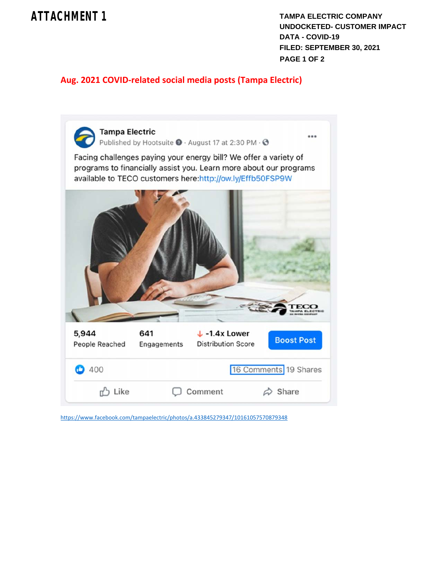## **ATTACHMENT 1**

**TAMPA ELECTRIC COMPANY UNDOCKETED- CUSTOMER IMPACT DATA - COVID-19 FILED: SEPTEMBER 30, 2021 PAGE 1 OF 2**

## **Aug. 2021 COVID‐related social media posts (Tampa Electric)**



https://www.facebook.com/tampaelectric/photos/a.433845279347/10161057570879348